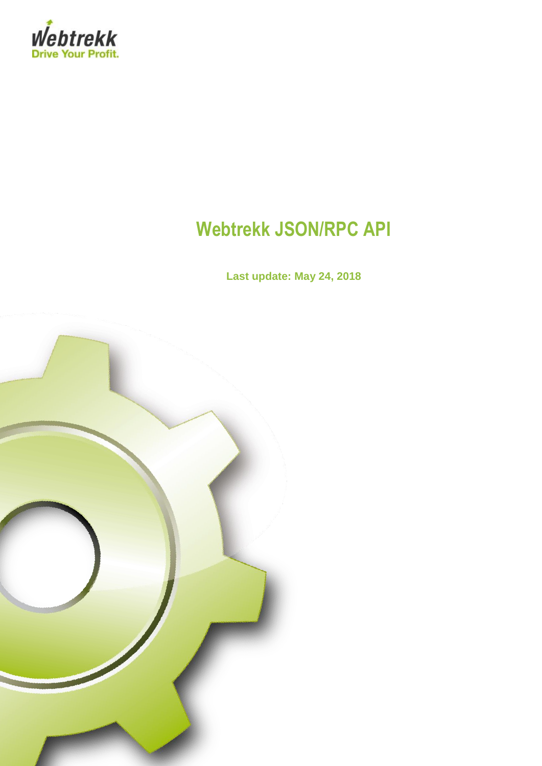

# **Webtrekk JSON/RPC API**

**Last update: May 24, 2018**

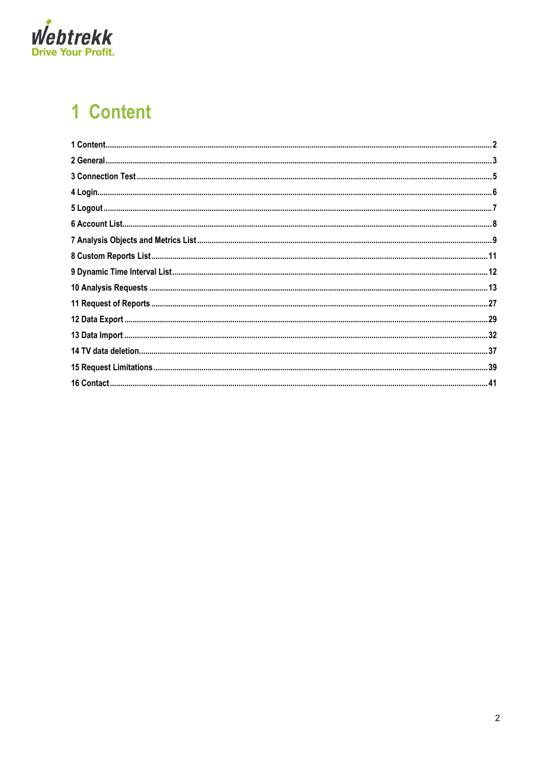

# <span id="page-1-0"></span>1 Content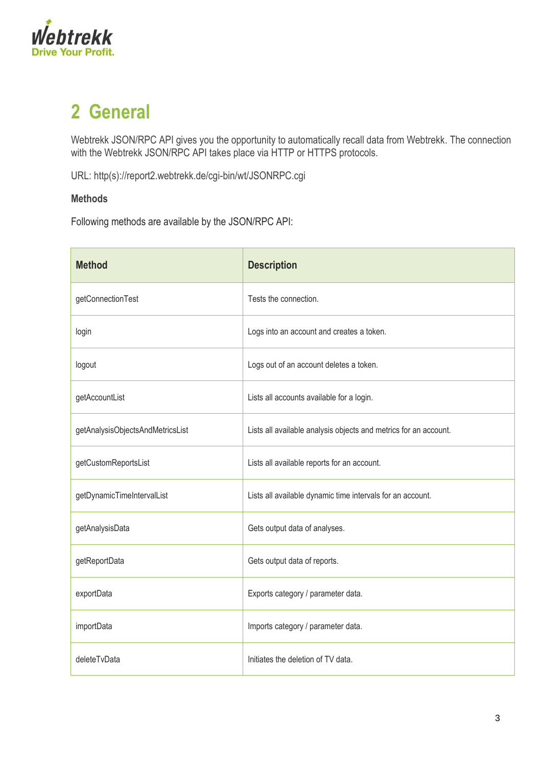

## <span id="page-2-0"></span>**2 General**

Webtrekk JSON/RPC API gives you the opportunity to automatically recall data from Webtrekk. The connection with the Webtrekk JSON/RPC API takes place via HTTP or HTTPS protocols.

URL: http(s)://report2.webtrekk.de/cgi-bin/wt/JSONRPC.cgi

### **Methods**

Following methods are available by the JSON/RPC API:

| <b>Method</b>                    | <b>Description</b>                                               |
|----------------------------------|------------------------------------------------------------------|
| getConnectionTest                | Tests the connection.                                            |
| login                            | Logs into an account and creates a token.                        |
| logout                           | Logs out of an account deletes a token.                          |
| getAccountList                   | Lists all accounts available for a login.                        |
| getAnalysisObjectsAndMetricsList | Lists all available analysis objects and metrics for an account. |
| getCustomReportsList             | Lists all available reports for an account.                      |
| getDynamicTimeIntervalList       | Lists all available dynamic time intervals for an account.       |
| getAnalysisData                  | Gets output data of analyses.                                    |
| getReportData                    | Gets output data of reports.                                     |
| exportData                       | Exports category / parameter data.                               |
| importData                       | Imports category / parameter data.                               |
| deleteTvData                     | Initiates the deletion of TV data.                               |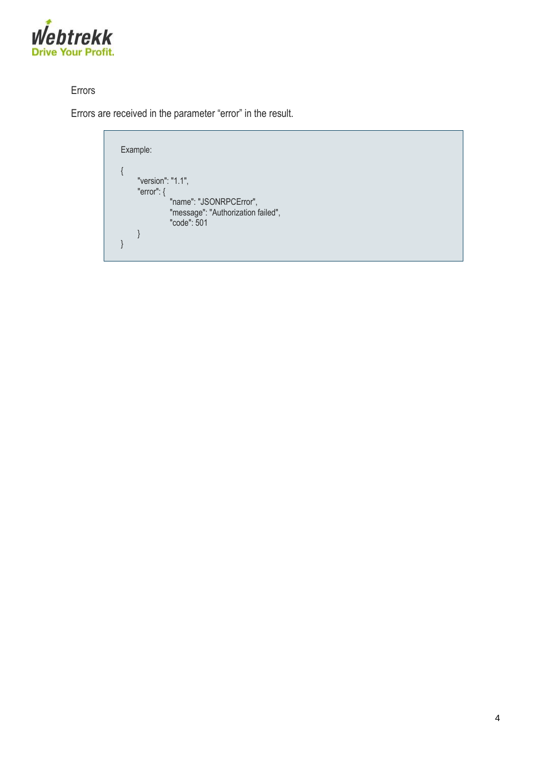

## Errors

Errors are received in the parameter "error" in the result.

Example: { "version": "1.1", "error": { "name": "JSONRPCError", "message": "Authorization failed", "code": 501 } }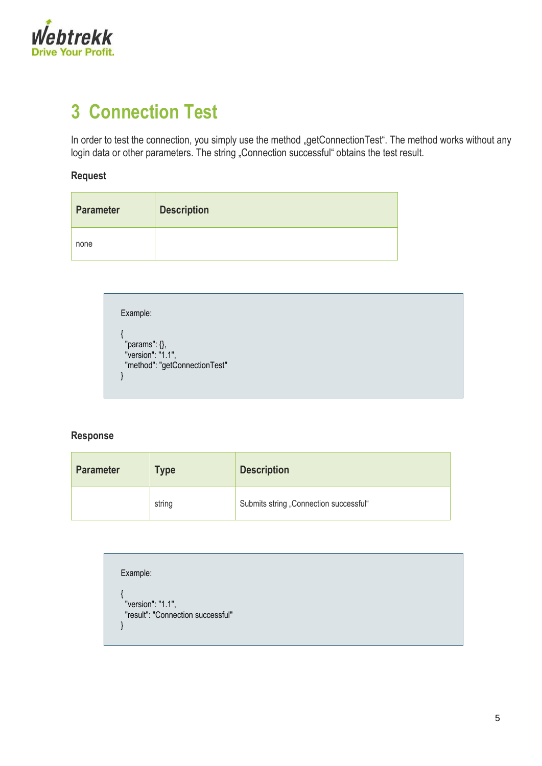

# <span id="page-4-0"></span>**3 Connection Test**

In order to test the connection, you simply use the method "getConnectionTest". The method works without any login data or other parameters. The string "Connection successful" obtains the test result.

### **Request**

| <b>Parameter</b> | <b>Description</b> |
|------------------|--------------------|
| none             |                    |

| "params": $\{\},\$            |  |  |
|-------------------------------|--|--|
| "version": "1.1",             |  |  |
| "method": "getConnectionTest" |  |  |

#### **Response**

| <b>Parameter</b><br><b>Type</b> |        | <b>Description</b>                     |  |  |
|---------------------------------|--------|----------------------------------------|--|--|
|                                 | string | Submits string "Connection successful" |  |  |

| Example:                          |  |  |  |
|-----------------------------------|--|--|--|
| "version": "1.1",                 |  |  |  |
| "result": "Connection successful" |  |  |  |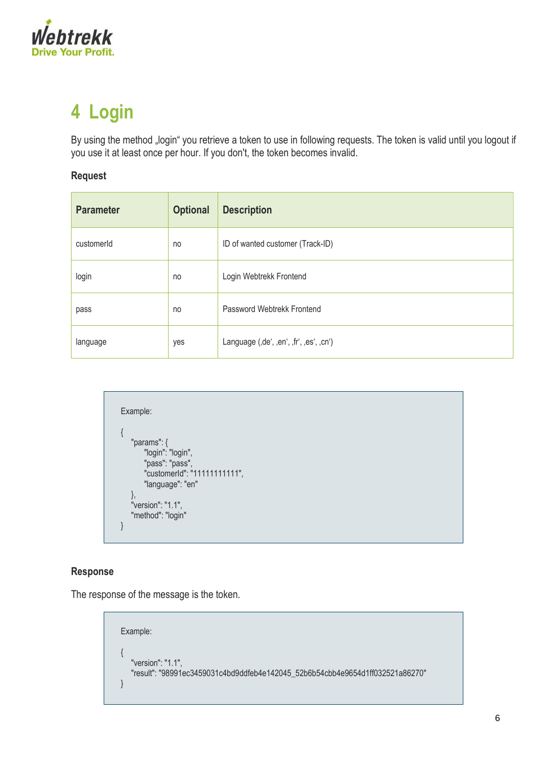

# <span id="page-5-0"></span>**4 Login**

By using the method "login" you retrieve a token to use in following requests. The token is valid until you logout if you use it at least once per hour. If you don't, the token becomes invalid.

### **Request**

| <b>Parameter</b> | <b>Optional</b> | <b>Description</b>                      |
|------------------|-----------------|-----------------------------------------|
| customerId       | no              | ID of wanted customer (Track-ID)        |
| login            | no              | Login Webtrekk Frontend                 |
| pass             | no              | Password Webtrekk Frontend              |
| language         | yes             | Language (,de', ,en', ,fr', ,es', ,cn') |

```
Example:
{
   "params": {
       "login": "login",
 "pass": "pass",
 "customerId": "11111111111",
       "language": "en"
   },
   "version": "1.1",
  "method": "login"
}
```
### **Response**

The response of the message is the token.

```
Example:
{
   "version": "1.1",
  "result": "98991ec3459031c4bd9ddfeb4e142045_52b6b54cbb4e9654d1ff032521a86270"
}
```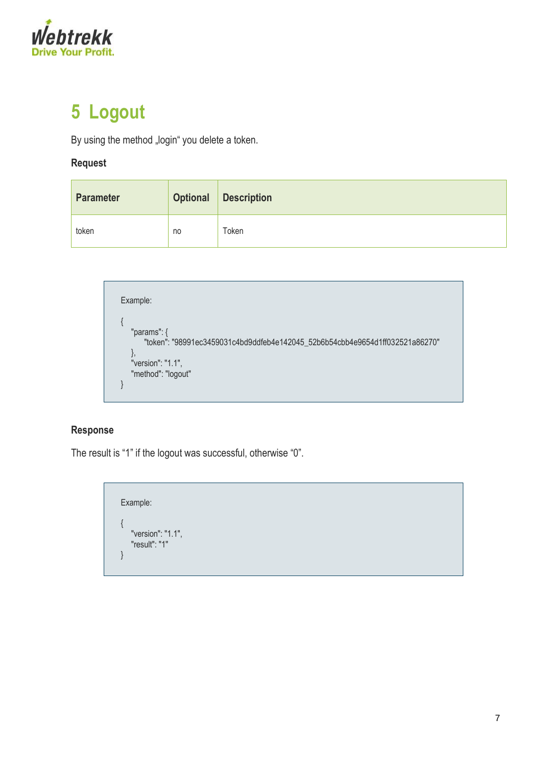

# <span id="page-6-0"></span>**5 Logout**

By using the method "login" you delete a token.

### **Request**

| <b>Parameter</b> | <b>Optional</b> | <b>Description</b> |
|------------------|-----------------|--------------------|
| token            | no              | Гоken              |

Example: { "params": { "token": "98991ec3459031c4bd9ddfeb4e142045\_52b6b54cbb4e9654d1ff032521a86270" }, "version": "1.1", "method": "logout" }

### **Response**

The result is "1" if the logout was successful, otherwise "0".

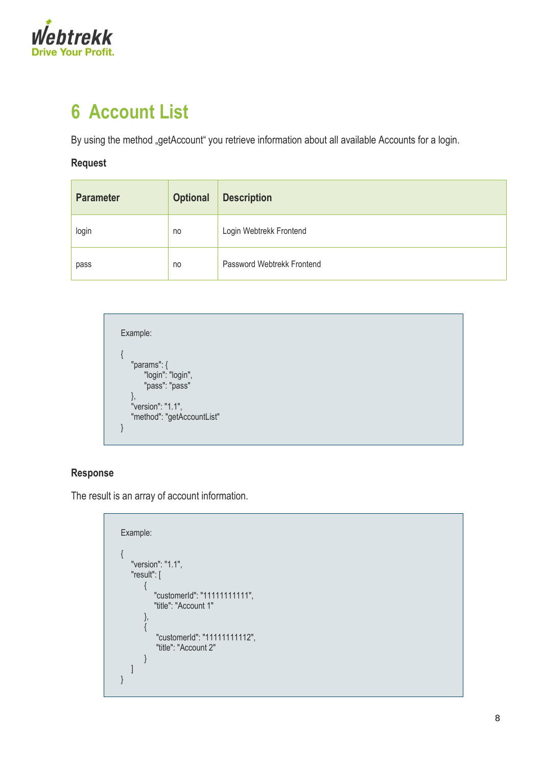

# <span id="page-7-0"></span>**6 Account List**

By using the method "getAccount" you retrieve information about all available Accounts for a login.

#### **Request**

| <b>Parameter</b> | <b>Optional</b> | <b>Description</b>         |
|------------------|-----------------|----------------------------|
| login            | no              | Login Webtrekk Frontend    |
| pass             | no              | Password Webtrekk Frontend |



### **Response**

The result is an array of account information.

```
Example:
{
     "version": "1.1",
     "result": [
 \left\{ \begin{array}{c} \end{array} \right. "customerId": "11111111111",
                 "title": "Account 1"
            },
 \left\{\begin{array}{ccc} \end{array}\right\} "customerId": "11111111112",
                  "title": "Account 2"
 \begin{array}{ccc} \end{array} ]
}
```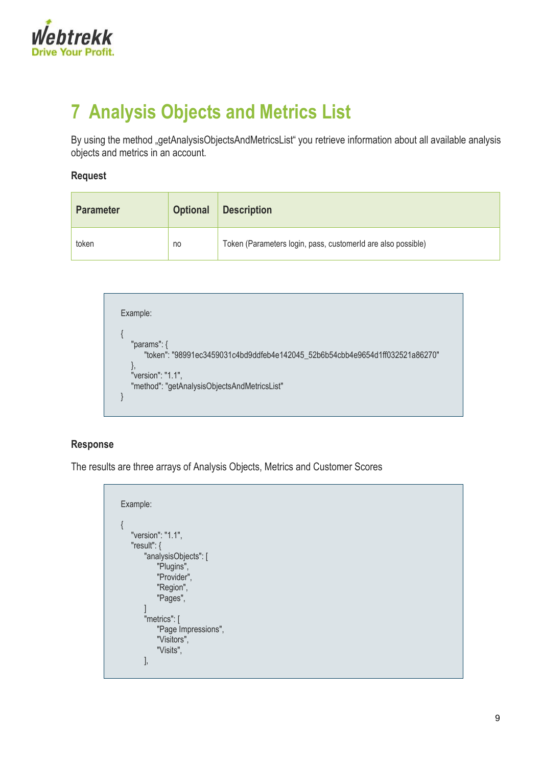

# <span id="page-8-0"></span>**7 Analysis Objects and Metrics List**

By using the method "getAnalysisObjectsAndMetricsList" you retrieve information about all available analysis objects and metrics in an account.

#### **Request**

| <b>Parameter</b> | <b>Optional</b> | <b>Description</b>                                           |
|------------------|-----------------|--------------------------------------------------------------|
| token            | no              | Token (Parameters login, pass, customerld are also possible) |

| Example:                                                                                                                                                            |
|---------------------------------------------------------------------------------------------------------------------------------------------------------------------|
| "params": $\{$<br>"token": "98991ec3459031c4bd9ddfeb4e142045_52b6b54cbb4e9654d1ff032521a86270"<br>"version": "1.1",<br>"method": "getAnalysisObjectsAndMetricsList" |

#### **Response**

The results are three arrays of Analysis Objects, Metrics and Customer Scores

```
Example:
{
   "version": "1.1",
   "result": {
       "analysisObjects": [
            "Plugins",
            "Provider",
           "Region",
           "Pages",
        ]
        "metrics": [
           "Page Impressions",
           "Visitors",
           "Visits",
       ],
```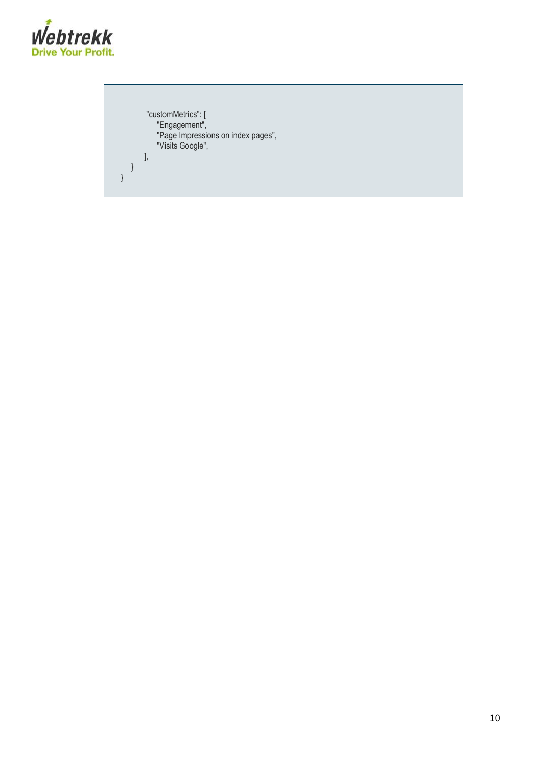

"customMetrics": [ "Engagement", "Page Impressions on index pages", "Visits Google", ], } }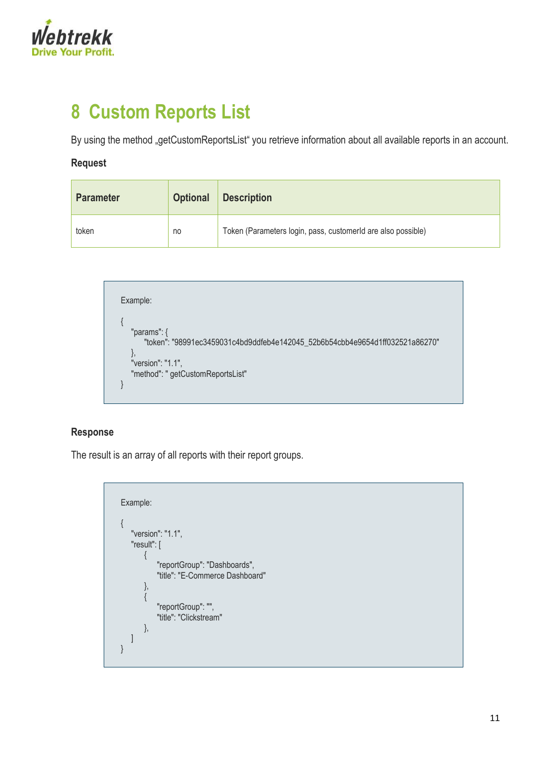

## <span id="page-10-0"></span>**8 Custom Reports List**

By using the method "getCustomReportsList" you retrieve information about all available reports in an account.

#### **Request**

| <b>Parameter</b> | <b>Optional</b> | <b>Description</b>                                           |
|------------------|-----------------|--------------------------------------------------------------|
| token            | no              | Token (Parameters login, pass, customerld are also possible) |

Example: { "params": { "token": "98991ec3459031c4bd9ddfeb4e142045\_52b6b54cbb4e9654d1ff032521a86270" }, "version": "1.1", "method": " getCustomReportsList" }

#### **Response**

The result is an array of all reports with their report groups.

Example: { "version": "1.1", "result": [ { "reportGroup": "Dashboards", "title": "E-Commerce Dashboard" }, { "reportGroup": "", "title": "Clickstream" }, ] }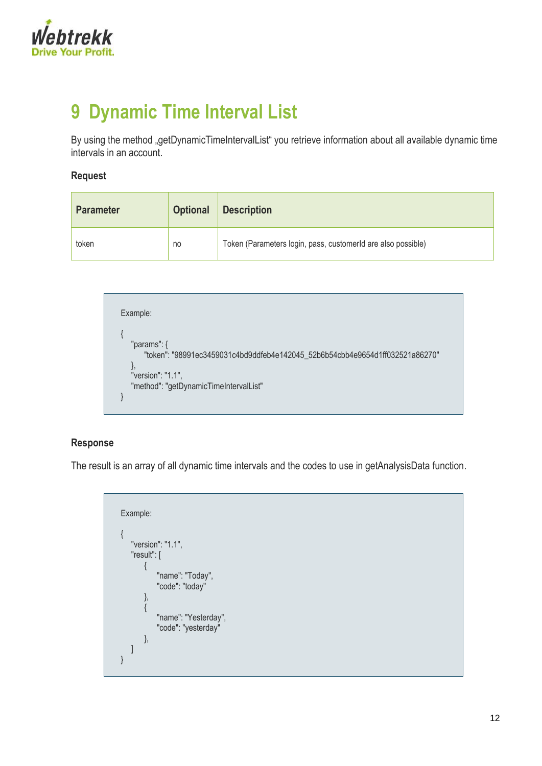

# <span id="page-11-0"></span>**9 Dynamic Time Interval List**

By using the method "getDynamicTimeIntervalList" you retrieve information about all available dynamic time intervals in an account.

### **Request**

| <b>Parameter</b> | <b>Optional</b> | <b>Description</b>                                           |  |
|------------------|-----------------|--------------------------------------------------------------|--|
| token            | no              | Token (Parameters login, pass, customerld are also possible) |  |

Example: { "params": { "token": "98991ec3459031c4bd9ddfeb4e142045\_52b6b54cbb4e9654d1ff032521a86270" }, "version": "1.1", "method": "getDynamicTimeIntervalList" }

### **Response**

The result is an array of all dynamic time intervals and the codes to use in getAnalysisData function.

```
Example:
{
   "version": "1.1",
   "result": [
        {
           "name": "Today",
           "code": "today"
       },
       {
           "name": "Yesterday",
           "code": "yesterday"
       },
   ]
}
```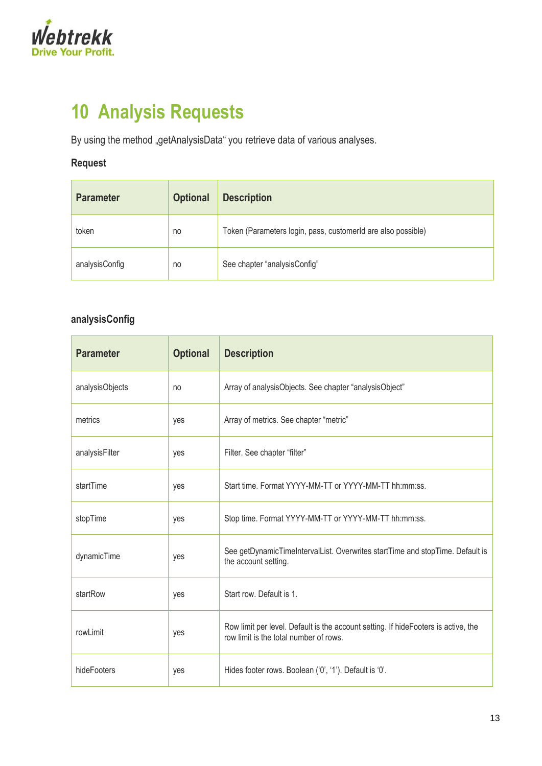

# <span id="page-12-0"></span>**10 Analysis Requests**

By using the method "getAnalysisData" you retrieve data of various analyses.

## **Request**

| <b>Parameter</b> | <b>Optional</b> | <b>Description</b>                                           |  |
|------------------|-----------------|--------------------------------------------------------------|--|
| token            | no              | Token (Parameters login, pass, customerld are also possible) |  |
| analysisConfig   | no              | See chapter "analysisConfig"                                 |  |

## **analysisConfig**

| <b>Parameter</b> | <b>Optional</b> | <b>Description</b>                                                                                                           |  |
|------------------|-----------------|------------------------------------------------------------------------------------------------------------------------------|--|
| analysisObjects  | no              | Array of analysisObjects. See chapter "analysisObject"                                                                       |  |
| metrics          | yes             | Array of metrics. See chapter "metric"                                                                                       |  |
| analysisFilter   | yes             | Filter. See chapter "filter"                                                                                                 |  |
| startTime        | yes             | Start time. Format YYYY-MM-TT or YYYY-MM-TT hh:mm:ss.                                                                        |  |
| stopTime         | yes             | Stop time. Format YYYY-MM-TT or YYYY-MM-TT hh:mm:ss.                                                                         |  |
| dynamicTime      | yes             | See getDynamicTimeIntervalList. Overwrites startTime and stopTime. Default is<br>the account setting.                        |  |
| startRow         | yes             | Start row. Default is 1.                                                                                                     |  |
| rowLimit         | yes             | Row limit per level. Default is the account setting. If hideFooters is active, the<br>row limit is the total number of rows. |  |
| hideFooters      | yes             | Hides footer rows. Boolean ('0', '1'). Default is '0'.                                                                       |  |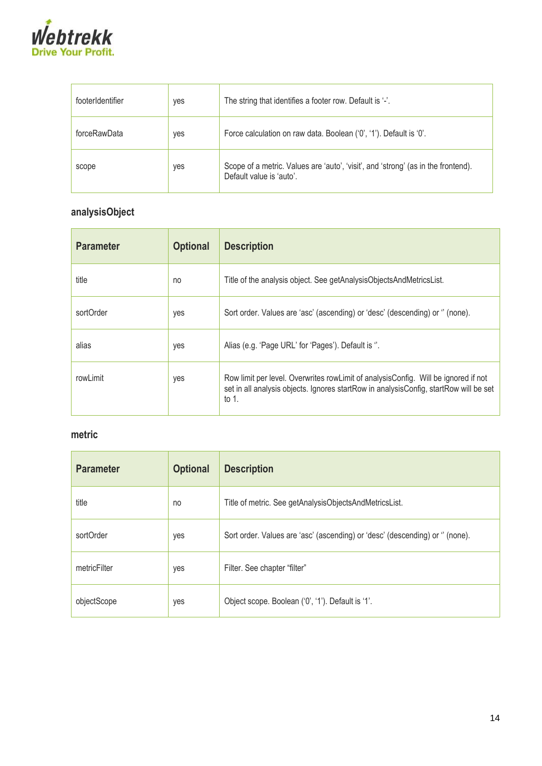

| footerIdentifier | yes | The string that identifies a footer row. Default is '-'.                                                      |  |
|------------------|-----|---------------------------------------------------------------------------------------------------------------|--|
| forceRawData     | yes | Force calculation on raw data. Boolean ('0', '1'). Default is '0'.                                            |  |
| scope            | yes | Scope of a metric. Values are 'auto', 'visit', and 'strong' (as in the frontend).<br>Default value is 'auto'. |  |

## **analysisObject**

| <b>Parameter</b> | <b>Optional</b> | <b>Description</b>                                                                                                                                                                      |  |
|------------------|-----------------|-----------------------------------------------------------------------------------------------------------------------------------------------------------------------------------------|--|
| title            | no              | Title of the analysis object. See getAnalysisObjectsAndMetricsList.                                                                                                                     |  |
| sortOrder        | yes             | Sort order. Values are 'asc' (ascending) or 'desc' (descending) or " (none).                                                                                                            |  |
| alias            | yes             | Alias (e.g. 'Page URL' for 'Pages'). Default is ".                                                                                                                                      |  |
| rowLimit         | yes             | Row limit per level. Overwrites rowLimit of analysisConfig. Will be ignored if not<br>set in all analysis objects. Ignores startRow in analysisConfig, startRow will be set<br>to $1$ . |  |

## **metric**

| <b>Parameter</b> | <b>Optional</b> | <b>Description</b>                                                           |  |
|------------------|-----------------|------------------------------------------------------------------------------|--|
| title            | no              | Title of metric. See getAnalysisObjectsAndMetricsList.                       |  |
| sortOrder        | yes             | Sort order. Values are 'asc' (ascending) or 'desc' (descending) or " (none). |  |
| metricFilter     | yes             | Filter. See chapter "filter"                                                 |  |
| objectScope      | yes             | Object scope. Boolean ('0', '1'). Default is '1'.                            |  |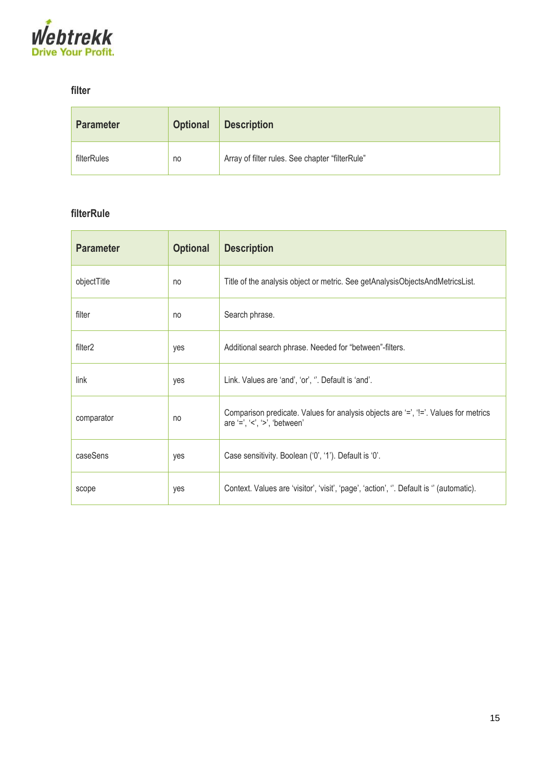

### **filter**

| <b>Parameter</b> | <b>Optional</b> | <b>Description</b>                              |  |
|------------------|-----------------|-------------------------------------------------|--|
| filterRules      | no              | Array of filter rules. See chapter "filterRule" |  |

### **filterRule**

| <b>Parameter</b>    | <b>Optional</b> | <b>Description</b>                                                                                                          |  |
|---------------------|-----------------|-----------------------------------------------------------------------------------------------------------------------------|--|
| objectTitle         | no              | Title of the analysis object or metric. See getAnalysisObjectsAndMetricsList.                                               |  |
| filter              | no              | Search phrase.                                                                                                              |  |
| filter <sub>2</sub> | yes             | Additional search phrase. Needed for "between"-filters.                                                                     |  |
| link                | yes             | Link. Values are 'and', 'or', ". Default is 'and'.                                                                          |  |
| comparator          | no              | Comparison predicate. Values for analysis objects are '=', '!='. Values for metrics<br>are $'=$ , $'='$ , $'='$ , 'between' |  |
| caseSens            | yes             | Case sensitivity. Boolean ('0', '1'). Default is '0'.                                                                       |  |
| scope               | yes             | Context. Values are 'visitor', 'visit', 'page', 'action', ". Default is " (automatic).                                      |  |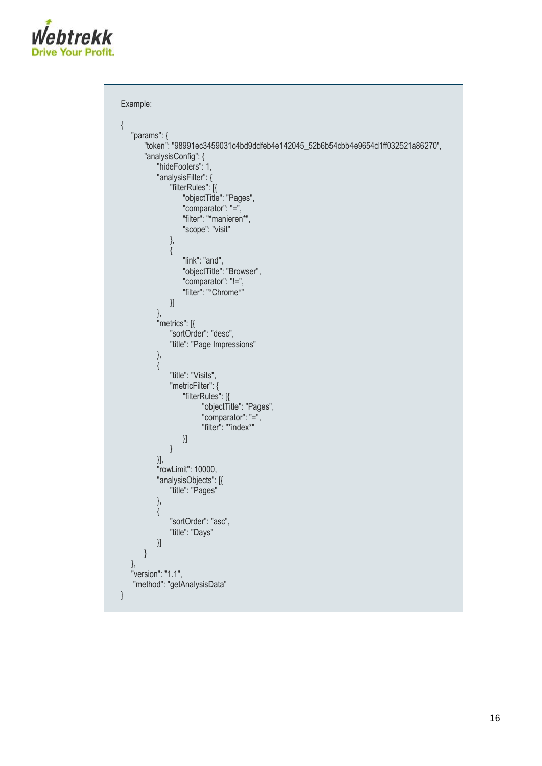

```
Example:
{
   "params": {
       "token": "98991ec3459031c4bd9ddfeb4e142045_52b6b54cbb4e9654d1ff032521a86270",
       "analysisConfig": {
            "hideFooters": 1,
            "analysisFilter": {
                "filterRules": [{
                     "objectTitle": "Pages",
                    "comparator": "=",
                     "filter": "*manieren*",
                     "scope": "visit"
                },
                {
                    "link": "and",
                    "objectTitle": "Browser",
                    "comparator": "!=",
                    "filter": "*Chrome*"
                }]
           },
            "metrics": [{
                "sortOrder": "desc",
                "title": "Page Impressions"
            },
            {
                "title": "Visits",
                "metricFilter": {
                    "filterRules": [{
                          "objectTitle": "Pages",
                          "comparator": "=",
                          "filter": "*index*"
                    }]
                }
            }],
            "rowLimit": 10000,
            "analysisObjects": [{
                "title": "Pages"
            },
            {
                "sortOrder": "asc",
                "title": "Days"
           }]
       }
   },
   "version": "1.1",
    "method": "getAnalysisData"
}
```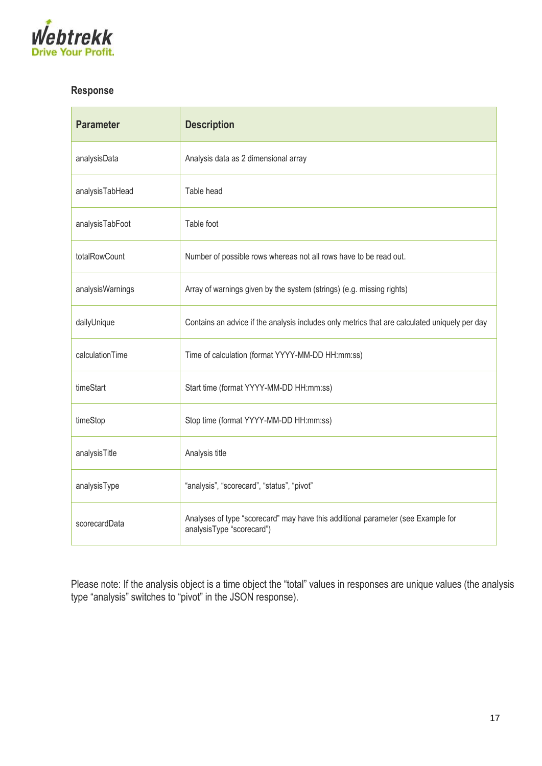

## **Response**

| <b>Parameter</b> | <b>Description</b>                                                                                            |
|------------------|---------------------------------------------------------------------------------------------------------------|
| analysisData     | Analysis data as 2 dimensional array                                                                          |
| analysisTabHead  | Table head                                                                                                    |
| analysisTabFoot  | Table foot                                                                                                    |
| totalRowCount    | Number of possible rows whereas not all rows have to be read out.                                             |
| analysisWarnings | Array of warnings given by the system (strings) (e.g. missing rights)                                         |
| dailyUnique      | Contains an advice if the analysis includes only metrics that are calculated uniquely per day                 |
| calculationTime  | Time of calculation (format YYYY-MM-DD HH:mm:ss)                                                              |
| timeStart        | Start time (format YYYY-MM-DD HH:mm:ss)                                                                       |
| timeStop         | Stop time (format YYYY-MM-DD HH:mm:ss)                                                                        |
| analysisTitle    | Analysis title                                                                                                |
| analysisType     | "analysis", "scorecard", "status", "pivot"                                                                    |
| scorecardData    | Analyses of type "scorecard" may have this additional parameter (see Example for<br>analysisType "scorecard") |

Please note: If the analysis object is a time object the "total" values in responses are unique values (the analysis type "analysis" switches to "pivot" in the JSON response).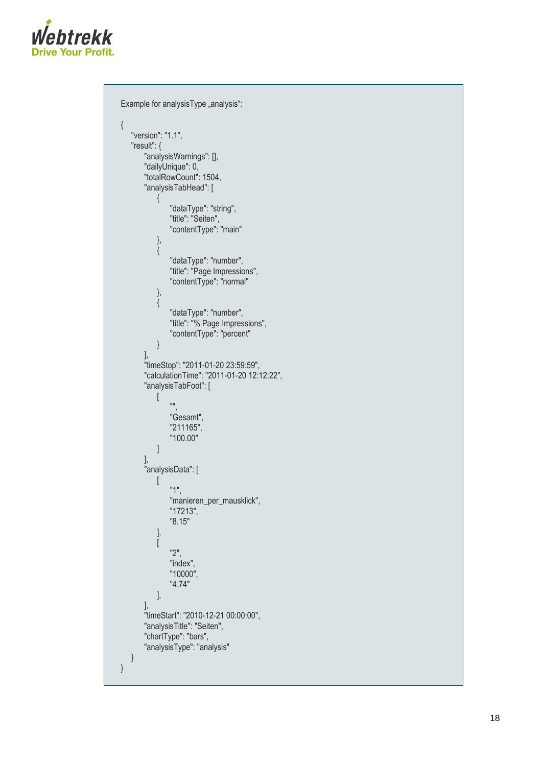

```
Example for analysisType "analysis":
{
   "version": "1.1",
   "result": {
       "analysisWarnings": [],
       "dailyUnique": 0,
       "totalRowCount": 1504,
       "analysisTabHead": [ {
                "dataType": "string",
                "title": "Seiten",
                "contentType": "main"
           },{
                "dataType": "number",
                "title": "Page Impressions",
                "contentType": "normal"
           },{
                "dataType": "number",
                "title": "% Page Impressions",
                "contentType": "percent"
           }
       ],
        "timeStop": "2011-01-20 23:59:59",
        "calculationTime": "2011
-01
-20 12:12:22",
       "analysisTabFoot": [ \sqrt{ }"",
                "Gesamt",
                "211165",
                "100.00"
           ]
        ],
        "analysisData": [ \lceil"1",
                "manieren_per_mausklick",
                "17213",
                "8.15"
           ],[
               "2",
                "index",
                "10000",
                "4.74"
           ],
        ],
        "timeStart": "2010
-12
-21 00:00:00",
       "analysisTitle": "Seiten",
       "chartType": "bars",
       "analysisType": "analysis"
   }
}
```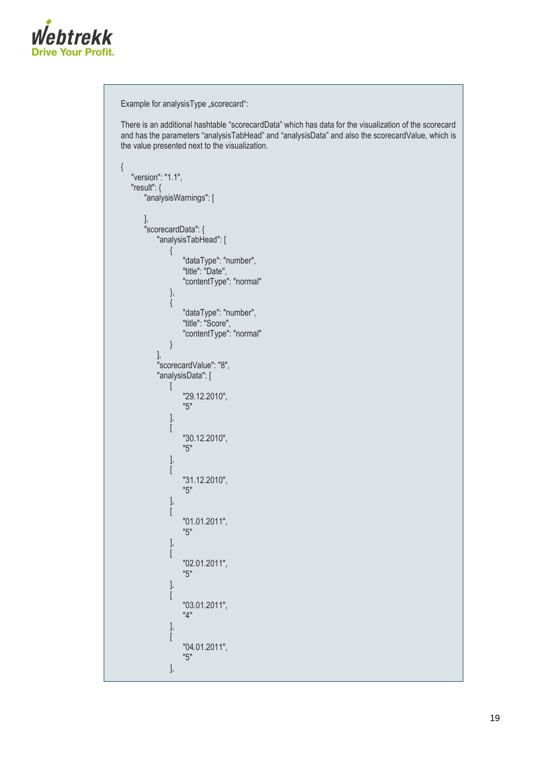

```
Example for analysisType "scorecard":
There is an additional hashtable "scorecardData" which has data for the visualization of the scorecard 
and has the parameters "analysisTabHead" and "analysisData" and also the scorecardValue, which is 
the value presented next to the visualization.
{
   "version": "1.1",
   "result": {
       "analysisWarnings": [
        ],
        "scorecardData": {
           "analysisTabHead": [
               {
                    "dataType": "number",
                    "title": "Date",
                    "contentType": "normal"
                },
                {
                    "dataType": "number",
                   "title": "Score",
                    "contentType": "normal"
               }
           ],
            "scorecardValue": "8",
           "analysisData": [
               \overline{[}"29.12.2010",
                    "5"
               ],
               [
                   "30.12.2010",
                   "5"
                ],
                [
                    "31.12.2010",
                   "5"
                ],
                [
                   "01.01.2011",
                    "5"
               ],
               \sqrt{ }"02.01.2011",
                   "5"
               ],
               [
                   "03.01.2011",
                   "4"
               ],
               [
                    "04.01.2011",
                   "5"
               ],
```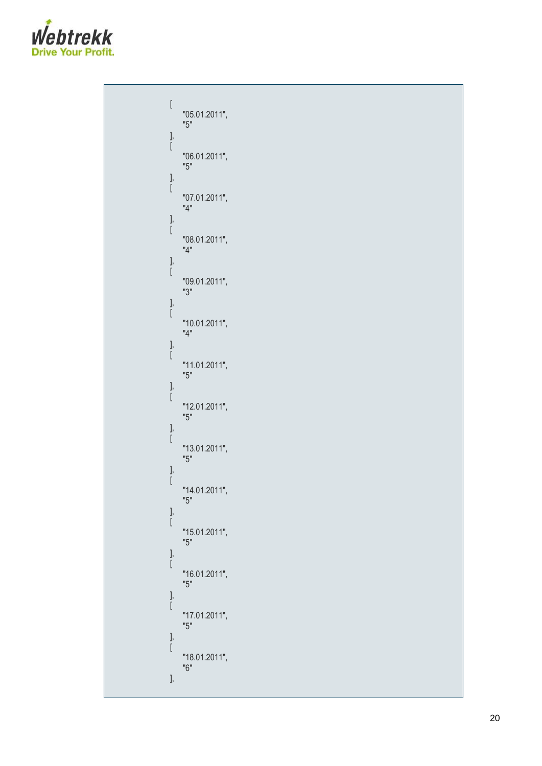

```
\lceil"05.01.2011",
    "5"
],[
    "06.01.2011",
    "5"
],[
    "07.01.2011",
    "4"
],[
    "08.01.2011",
    "4"
],[
    "09.01.2011",
    "3"
],[
    "10.01.2011",
    "4"
],[
    "11.01.2011",
    "5"
],[
    "12.01.2011",
    "5"
],[
    "13.01.2011",
    "5"
],[
     "14.01.2011",
     "5"
],[
    "15.01.2011",
    "5"
],[
    "16.01.2011",
    "5"
],[
    "17.01.2011",
    "5"
],[
    "18.01.2011",
    "6"
],
```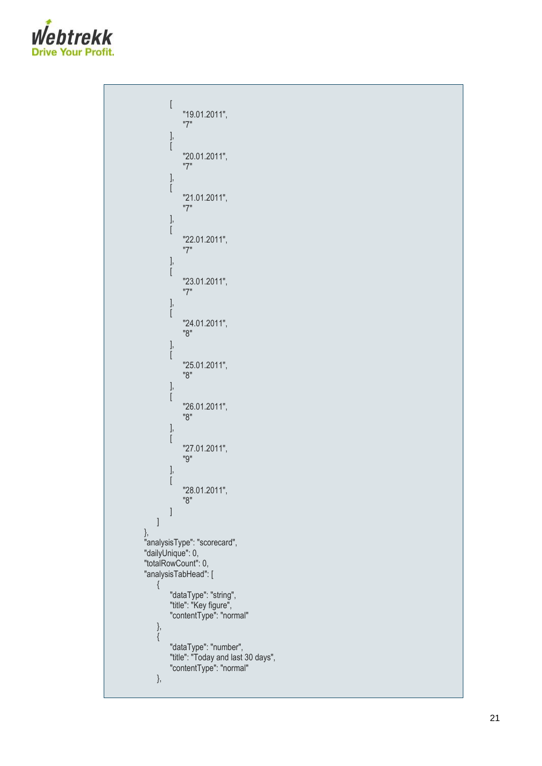

```
[
              "19.01.2011",
              "7"
         ],[
              "20.01.2011",
              "7"
        ],[
              "21.01.2011",
              "7
"
        ],[
              "22.01.2011",
              "7"
         ],[
              "23.01.2011",
              "7"
        ],[
              "24.01.2011",
              "8"
         ],[
              "25.01.2011",
              "8"
        ],[
              "26.01.2011",
              "8"
        ],[
              "27.01.2011",
              "9"
         ],[
              "28.01.2011",
              "8"
         ]
    ]
},
"analysisType": "scorecard",
"dailyUnique": 0,
"totalRowCount": 0,
"analysisTabHead": [ {
          "dataType": "string",
          "title": "Key figure",
          "contentType": "normal"
    \left\{ \begin{array}{c} \text{,} \\ \text{,} \\ \text{,} \\ \end{array} \right."dataType": "number",
          "title": "Today and last 30 days",
         "contentType": "normal"
    },
```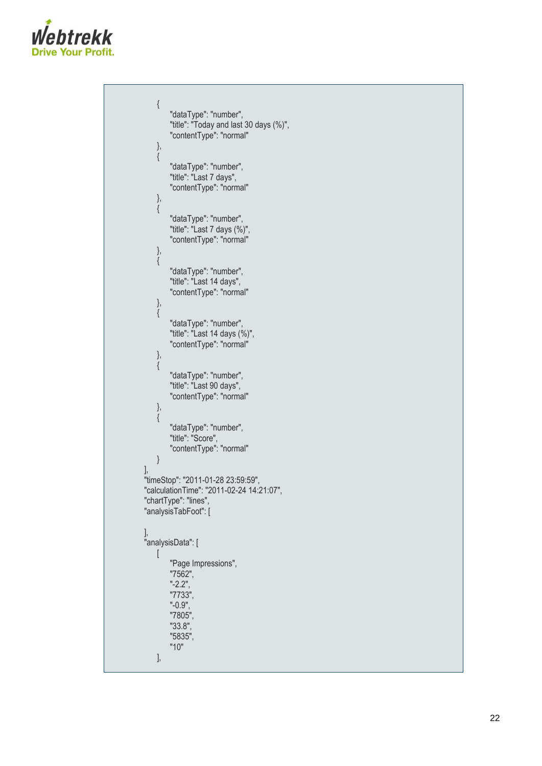

```
{
        "dataType": "number",
        "title": "Today and last 30 days (%)",
        "contentType": "normal"
   },{
        "dataType": "number",
        "title": "Last 7 days",
        "contentType": "normal"
   },{
        "dataType": "number",
        "title": "Last 7 days (%)",
        "contentType": "normal"
   },{
        "dataType": "number",
        "title": "Last 14 days",
        "contentType": "normal"
   },{
        "dataType": "number",
        "title": "Last 14 days (%)",
        "contentType": "normal"
   },{
        "dataType": "number",
        "title": "Last 90 days",
        "contentType": "normal"
   },{
        "dataType": "number",
        "title": "Score",
        "contentType": "normal"
   }
],
"timeStop": "2011-01-28 23:59:59",
"calculationTime": "2011
-02
-24 14:21:07",
"chartType": "lines",
"analysisTabFoot": [
],
"analysisData": [ \sqrt{ }"Page Impressions",
        "7562", "-2.2",
        "7733", "-0.9",
        "7805",
        "33.8",
        "5835",
        "10"
   ],
```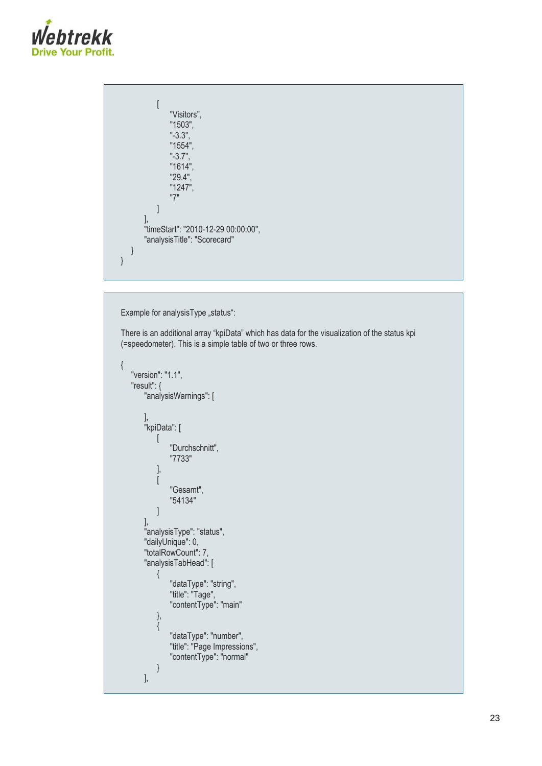

```
[
               "Visitors",
               "1503",
               "-3.3",
               "1554",
               "-3.7",
               "1614",
               "29.4",
               "1247",
               "7"
           ]
       ],
       "timeStart": "2010-12-29 00:00:00",
       "analysisTitle": "Scorecard"
   }
}
```
Example for analysisType "status":

There is an additional array "kpiData" which has data for the visualization of the status kpi (=speedometer). This is a simple table of two or three rows.

```
{
   "version": "1.1",
  "result": {
       "analysisWarnings": [
 ],
 "kpiData": [
[balang]]
               "Durchschnitt",
               "7733"
           ],
           [
               "Gesamt",
               "54134"
          ]
       ],
       "analysisType": "status",
       "dailyUnique": 0,
       "totalRowCount": 7,
       "analysisTabHead": [
          {
               "dataType": "string",
               "title": "Tage",
               "contentType": "main"
          },
           {
               "dataType": "number",
               "title": "Page Impressions",
               "contentType": "normal"
          }
      ],
```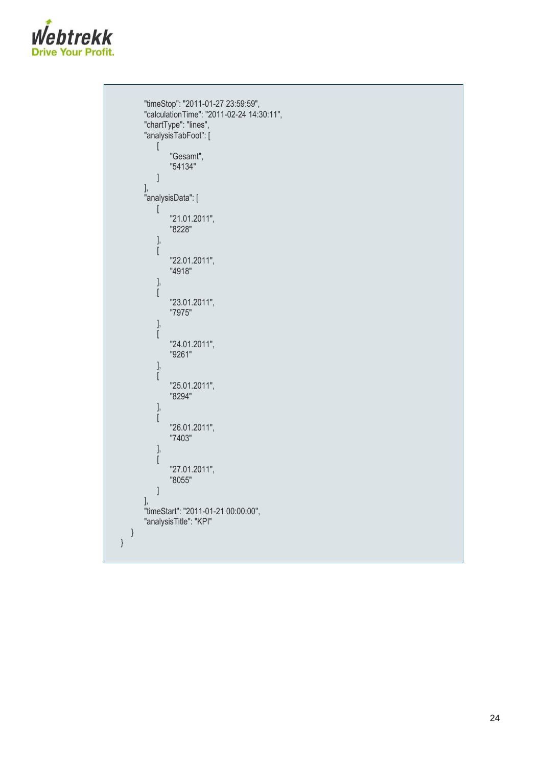

```
"timeStop": "2011-01-27 23:59:59",
        "calculationTime": "2011
-02
-24 14:30:11",
        "chartType": "lines",
        "analysisTabFoot": [ [
                "Gesamt",
                "54134"
           ]
        ],
        "analysisData": [ \overline{a}"21.01.2011",
                "8228"
           ],[
                "22.01.2011",
                "4918"
           ],[
                "23.01.2011",
                "7975"
           ],[
                "24.01.2011",
                "9261"
           ],[
                "25.01.2011",
                "8294"
           ],[
                "26.01.2011",
                "7403"
           ],[
                "27.01.2011",
                "8055"
           ]
        ],
        "timeStart": "2011
-01
-21 00:00:00",
        "analysisTitle": "KPI"
   }
}
```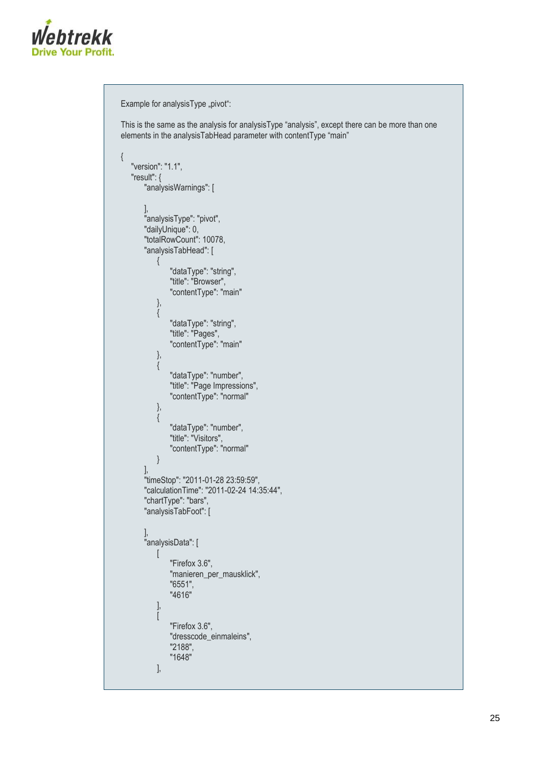

```
Example for analysisType "pivot":
This is the same as the analysis for analysisType "analysis", except there can be more than one 
elements in the analysisTabHead parameter with contentType "main"
{
   "version": "1.1",
   "result": {
       "analysisWarnings": [
       ],
       "analysisType": "pivot",
       "dailyUnique": 0,
       "totalRowCount": 10078,
       "analysisTabHead": [
           {
               "dataType": "string",
               "title": "Browser",
               "contentType": "main"
           },
           {
               "dataType": "string",
               "title": "Pages",
               "contentType": "main"
           },
           {
               "dataType": "number",
               "title": "Page Impressions",
               "contentType": "normal"
           },
           {
               "dataType": "number",
               "title": "Visitors",
               "contentType": "normal"
           }
       ],
       "timeStop": "2011-01-28 23:59:59",
       "calculationTime": "2011-02-24 14:35:44",
       "chartType": "bars",
       "analysisTabFoot": [
       ],
       "analysisData": [
           \sqrt{ }"Firefox 3.6",
               "manieren_per_mausklick",
               "6551",
               "4616"
           ],
           \sqrt{ }"Firefox 3.6",
               "dresscode_einmaleins",
               "2188",
               "1648"
           ],
```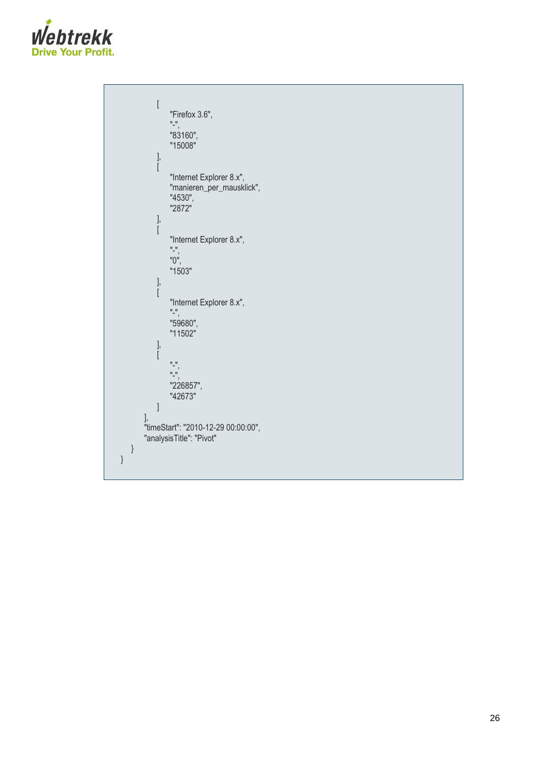

```
\begin{bmatrix} \phantom{-} \end{bmatrix}"Firefox 3.6", "-",
                   "83160",
                   "15008"
             ],[
                  "Internet Explorer 8.x",
                  "manieren_per_mausklick",
                   "4530",
                   "2872"
             ],[
                  "Internet Explorer 8.x", "-",
                   "0",
                  "1503"
             ],[
                  "Internet Explorer 8.x", "-",
                  "59680",
                  "11502"
             ],[
                   "
-",
                   "
-",
                  "226857",
                  "42673"
             ]
         ],
         "timeStart": "2010
-12
-29 00:00:00",
         "analysisTitle": "Pivot"
    }
}
```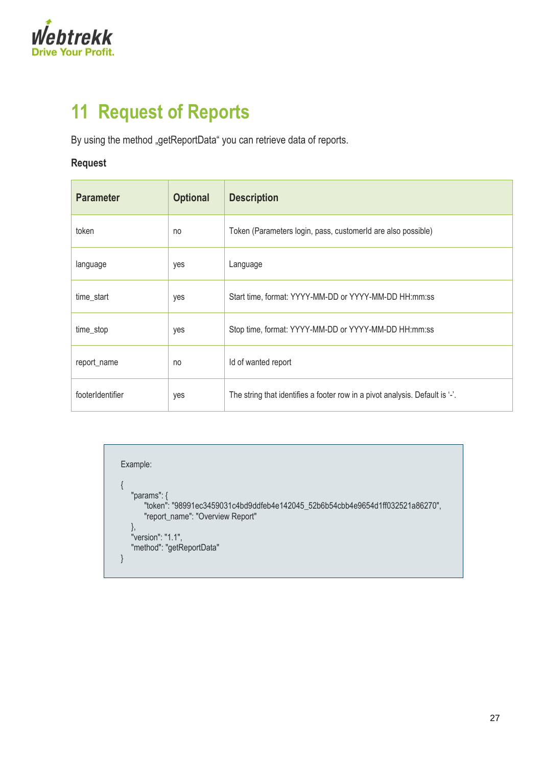

# <span id="page-26-0"></span>**11 Request of Reports**

By using the method "getReportData" you can retrieve data of reports.

### **Request**

| <b>Parameter</b> | <b>Optional</b> | <b>Description</b>                                                           |  |
|------------------|-----------------|------------------------------------------------------------------------------|--|
| token            | no              | Token (Parameters login, pass, customerid are also possible)                 |  |
| language         | yes             | Language                                                                     |  |
| time_start       | yes             | Start time, format: YYYY-MM-DD or YYYY-MM-DD HH:mm:ss                        |  |
| time_stop        | yes             | Stop time, format: YYYY-MM-DD or YYYY-MM-DD HH:mm:ss                         |  |
| report_name      | no              | Id of wanted report                                                          |  |
| footerIdentifier | yes             | The string that identifies a footer row in a pivot analysis. Default is '-'. |  |

Example: { "params": { "token": "98991ec3459031c4bd9ddfeb4e142045\_52b6b54cbb4e9654d1ff032521a86270", "report\_name": "Overview Report" }, "version": "1.1", "method": "getReportData" }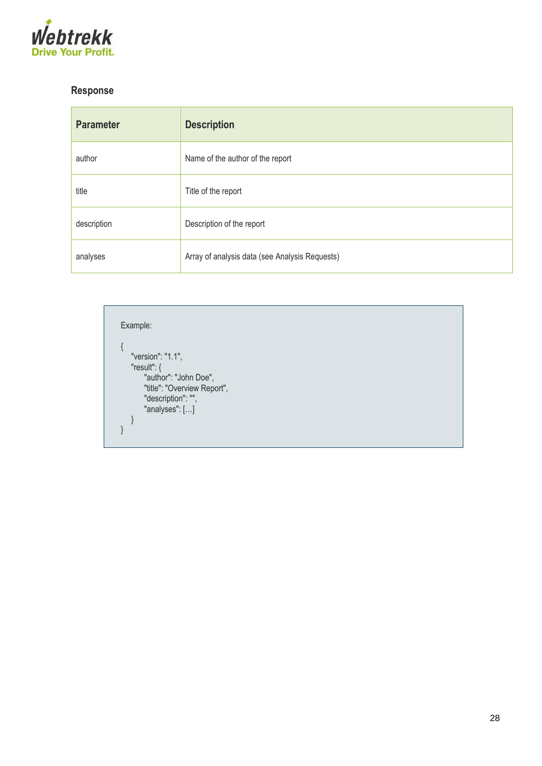

## **Response**

| <b>Parameter</b> | <b>Description</b>                             |
|------------------|------------------------------------------------|
| author           | Name of the author of the report               |
| title            | Title of the report                            |
| description      | Description of the report                      |
| analyses         | Array of analysis data (see Analysis Requests) |

Example: { "version": "1.1", "result": { "author": "John Doe", "title": "Overview Report", "description": "", "analyses": […] } }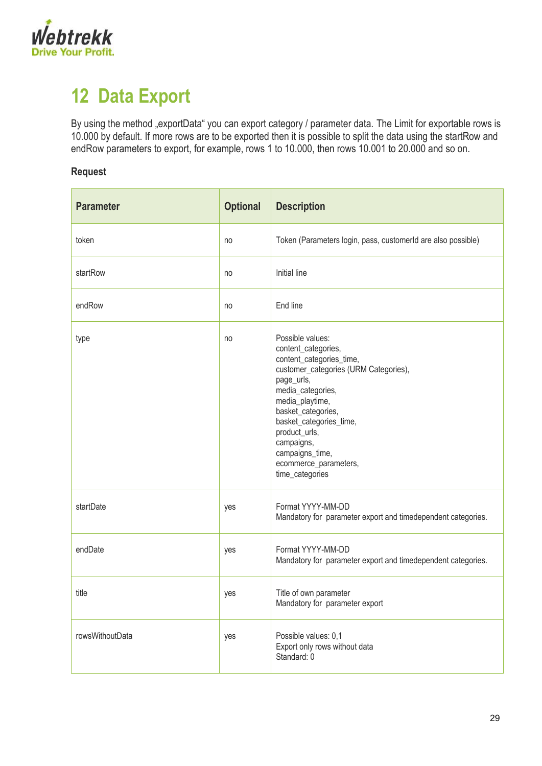

# <span id="page-28-0"></span>**12 Data Export**

By using the method "exportData" you can export category / parameter data. The Limit for exportable rows is 10.000 by default. If more rows are to be exported then it is possible to split the data using the startRow and endRow parameters to export, for example, rows 1 to 10.000, then rows 10.001 to 20.000 and so on.

#### **Request**

| <b>Parameter</b> | <b>Optional</b> | <b>Description</b>                                                                                                                                                                                                                                                                                                |
|------------------|-----------------|-------------------------------------------------------------------------------------------------------------------------------------------------------------------------------------------------------------------------------------------------------------------------------------------------------------------|
| token            | no              | Token (Parameters login, pass, customerId are also possible)                                                                                                                                                                                                                                                      |
| startRow         | no              | Initial line                                                                                                                                                                                                                                                                                                      |
| endRow           | no              | End line                                                                                                                                                                                                                                                                                                          |
| type             | no              | Possible values:<br>content_categories,<br>content_categories_time,<br>customer_categories (URM Categories),<br>page_urls,<br>media_categories,<br>media_playtime,<br>basket_categories,<br>basket_categories_time,<br>product_urls,<br>campaigns,<br>campaigns_time,<br>ecommerce_parameters,<br>time_categories |
| startDate        | yes             | Format YYYY-MM-DD<br>Mandatory for parameter export and timedependent categories.                                                                                                                                                                                                                                 |
| endDate          | yes             | Format YYYY-MM-DD<br>Mandatory for parameter export and timedependent categories.                                                                                                                                                                                                                                 |
| title            | yes             | Title of own parameter<br>Mandatory for parameter export                                                                                                                                                                                                                                                          |
| rowsWithoutData  | yes             | Possible values: 0,1<br>Export only rows without data<br>Standard: 0                                                                                                                                                                                                                                              |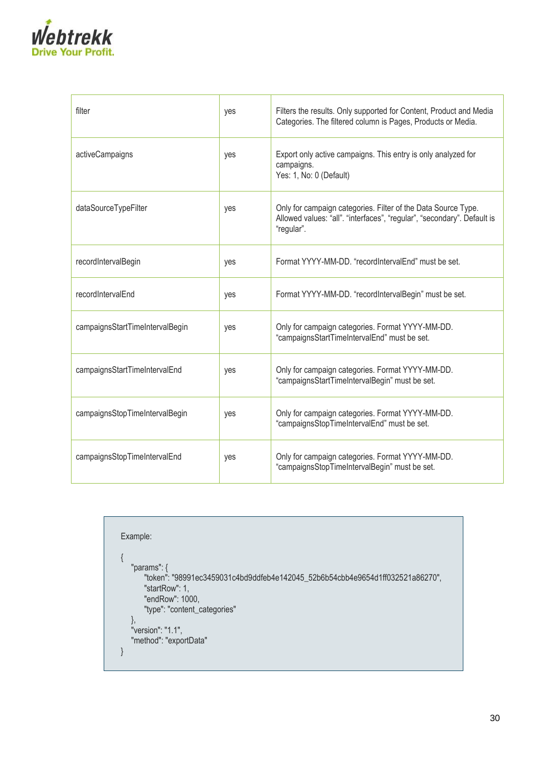

| filter                          | yes | Filters the results. Only supported for Content, Product and Media<br>Categories. The filtered column is Pages, Products or Media.                     |  |
|---------------------------------|-----|--------------------------------------------------------------------------------------------------------------------------------------------------------|--|
| activeCampaigns                 | yes | Export only active campaigns. This entry is only analyzed for<br>campaigns.<br>Yes: 1, No: 0 (Default)                                                 |  |
| dataSourceTypeFilter            | yes | Only for campaign categories. Filter of the Data Source Type.<br>Allowed values: "all". "interfaces", "regular", "secondary". Default is<br>"regular". |  |
| recordIntervalBegin             | yes | Format YYYY-MM-DD, "recordIntervalEnd" must be set.                                                                                                    |  |
| recordIntervalEnd               | yes | Format YYYY-MM-DD. "recordIntervalBegin" must be set.                                                                                                  |  |
| campaignsStartTimeIntervalBegin | yes | Only for campaign categories. Format YYYY-MM-DD.<br>"campaignsStartTimeIntervalEnd" must be set.                                                       |  |
| campaignsStartTimeIntervalEnd   | yes | Only for campaign categories. Format YYYY-MM-DD.<br>"campaignsStartTimeIntervalBegin" must be set.                                                     |  |
| campaignsStopTimeIntervalBegin  | yes | Only for campaign categories. Format YYYY-MM-DD.<br>"campaignsStopTimeIntervalEnd" must be set.                                                        |  |
| campaignsStopTimeIntervalEnd    | yes | Only for campaign categories. Format YYYY-MM-DD.<br>"campaignsStopTimeIntervalBegin" must be set.                                                      |  |

```
Example:
{
   "params": {
       "token": "98991ec3459031c4bd9ddfeb4e142045_52b6b54cbb4e9654d1ff032521a86270",
      "startRow": 1,
       "endRow": 1000,
       "type": "content_categories"
   },
   "version": "1.1",
   "method": "exportData"
}
```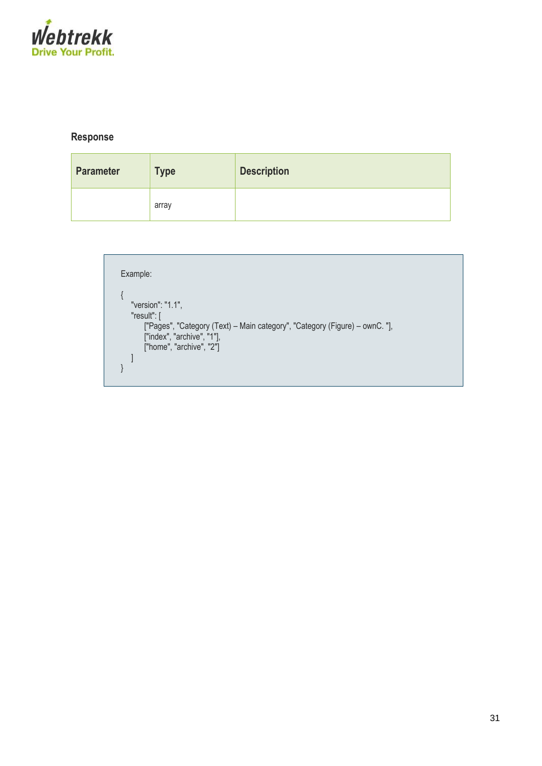

### **Response**

| <b>Parameter</b> | <b>Type</b> | <b>Description</b> |
|------------------|-------------|--------------------|
|                  | array       |                    |

```
Example:
{
   "version": "1.1",
    "result": [
        ["Pages", "Category (Text) – Main category", "Category (Figure) – ownC. "],
        ["index", "archive", "1"],
        ["home", "archive", "2"]
   \, ]
}
```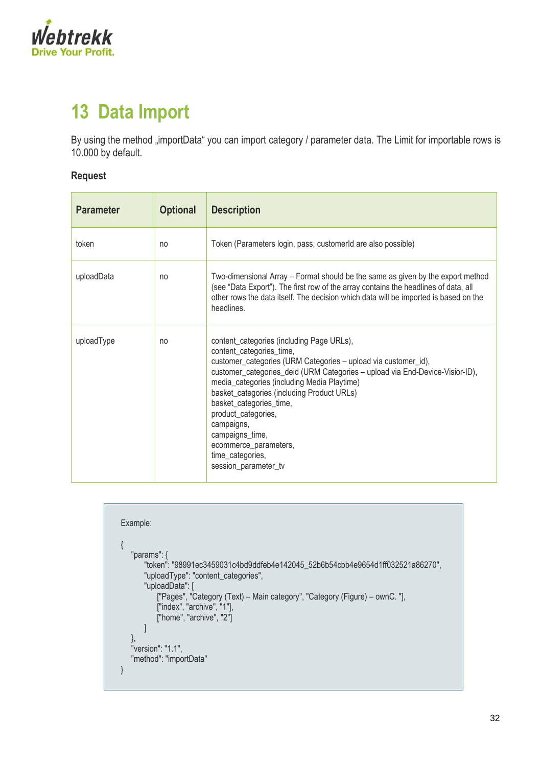

# <span id="page-31-0"></span>**13 Data Import**

By using the method "importData" you can import category / parameter data. The Limit for importable rows is 10.000 by default.

### **Request**

| <b>Parameter</b> | <b>Optional</b> | <b>Description</b>                                                                                                                                                                                                                                                                                                                                                                                                                                                           |
|------------------|-----------------|------------------------------------------------------------------------------------------------------------------------------------------------------------------------------------------------------------------------------------------------------------------------------------------------------------------------------------------------------------------------------------------------------------------------------------------------------------------------------|
| token            | no              | Token (Parameters login, pass, customerld are also possible)                                                                                                                                                                                                                                                                                                                                                                                                                 |
| uploadData       | no              | Two-dimensional Array – Format should be the same as given by the export method<br>(see "Data Export"). The first row of the array contains the headlines of data, all<br>other rows the data itself. The decision which data will be imported is based on the<br>headlines.                                                                                                                                                                                                 |
| uploadType       | no              | content_categories (including Page URLs),<br>content_categories_time,<br>customer_categories (URM Categories - upload via customer_id),<br>customer_categories_deid (URM Categories - upload via End-Device-Visior-ID),<br>media_categories (including Media Playtime)<br>basket_categories (including Product URLs)<br>basket_categories_time,<br>product_categories,<br>campaigns,<br>campaigns_time,<br>ecommerce_parameters,<br>time_categories,<br>session_parameter_tv |

```
Example:
{
   "params": {
       "token": "98991ec3459031c4bd9ddfeb4e142045_52b6b54cbb4e9654d1ff032521a86270",
       "uploadType": "content_categories",
       "uploadData": [
           ["Pages", "Category (Text) – Main category", "Category (Figure) – ownC. "],
           ["index", "archive", "1"],
           ["home", "archive", "2"]
      ]
   },
   "version": "1.1",
   "method": "importData"
}
```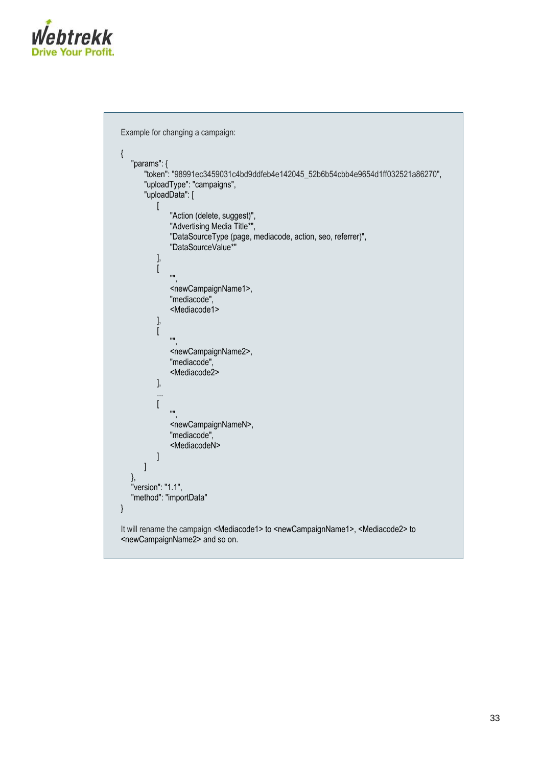

```
Example for changing a campaign:
{
   "params": { 
      "token": "98991ec3459031c4bd9ddfeb4e142045_52b6b54cbb4e9654d1ff032521a86270",
      "uploadType": "campaigns", 
      "uploadData": [
          \lceil"Action (delete, suggest)",
              "Advertising Media Title*",
              "DataSourceType (page, mediacode, action, seo, referrer)",
              "DataSourceValue*"
          ],
          [
             "",
              <newCampaignName1>,
              "mediacode",
              <Mediacode1>
          ],
          [
              "",
              <newCampaignName2>,
              "mediacode",
              <Mediacode2>
          ],
          ...
          \lceil"",
              <newCampaignNameN>,
              "mediacode",
              <MediacodeN>
          ]
      ]
  },
   "version": "1.1", 
  "method": "importData"
}
It will rename the campaign <Mediacode1> to <newCampaignName1>, <Mediacode2> to
<newCampaignName2> and so on.
```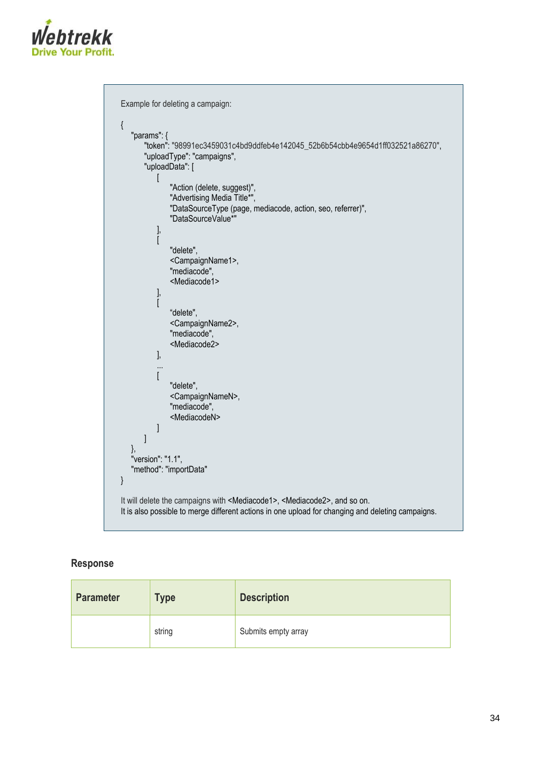

```
Example for deleting a campaign:
{ 
   "params": { 
       "token": "98991ec3459031c4bd9ddfeb4e142045_52b6b54cbb4e9654d1ff032521a86270",
       "uploadType": "campaigns", 
       "uploadData": [ 
           \sqrt{ }"Action (delete, suggest)",
               "Advertising Media Title*",
               "DataSourceType (page, mediacode, action, seo, referrer)",
               "DataSourceValue*"
          ], 
          \overline{ }"delete",
               <CampaignName1>,
               "mediacode",
               <Mediacode1>
          ], 
           \overline{[}"delete",
               <CampaignName2>,
               "mediacode",
               <Mediacode2>
          ], 
           ...
           \overline{[}"delete",
               <CampaignNameN>,
               "mediacode",
               <MediacodeN>
          ] 
       ]
   },
   "version": "1.1", 
   "method": "importData"
}
It will delete the campaigns with <Mediacode1>, <Mediacode2>, and so on.
It is also possible to merge different actions in one upload for changing and deleting campaigns.
```
#### **Response**

| <b>Parameter</b> | <b>Type</b> | <b>Description</b>  |  |
|------------------|-------------|---------------------|--|
|                  | string      | Submits empty array |  |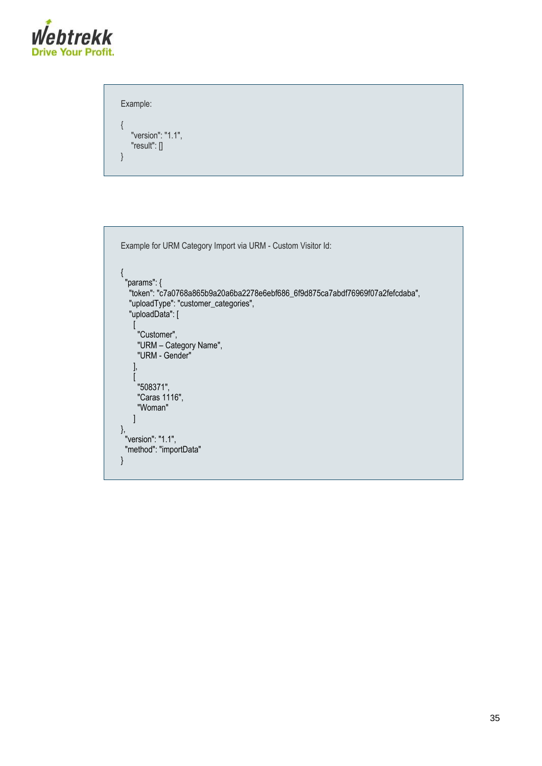

```
Example:
{
   "version": "1.1",
   "result": []
}
```

```
Example for URM Category Import via URM - Custom Visitor Id:
{
 "params": {
 "token": "c7a0768a865b9a20a6ba2278e6ebf686_6f9d875ca7abdf76969f07a2fefcdaba",
 "uploadType": "customer_categories",
 "uploadData": [
  "uploadType": "customer_categories",<br>"uploadData": [<br>[
      "Customer",
      "URM – Category Name",
      "URM - Gender"
    ],
    \left[ \right] "508371",
      "Caras 1116",
      "Woman"
\Box},
 "version": "1.1",
 "method": "importData"
}
```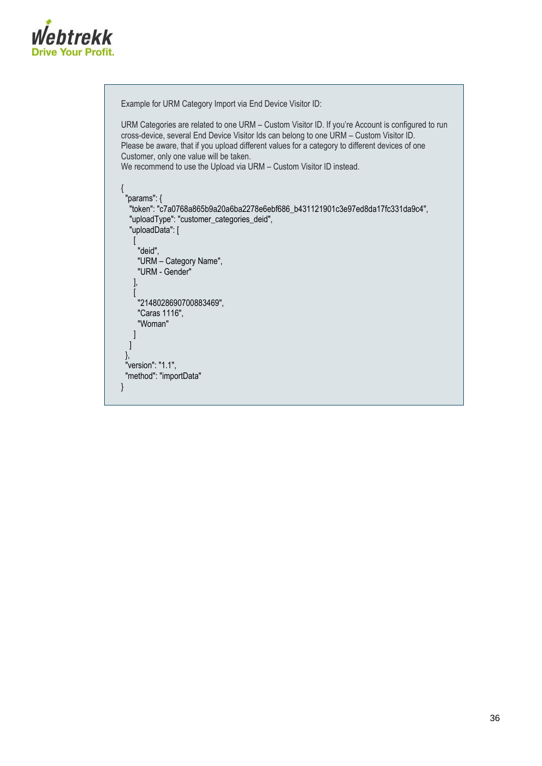

```
Example for URM Category Import via End Device Visitor ID:
URM Categories are related to one URM – Custom Visitor ID. If you're Account is configured to run 
cross-device, several End Device Visitor Ids can belong to one URM – Custom Visitor ID.
Please be aware, that if you upload different values for a category to different devices of one 
Customer, only one value will be taken.
We recommend to use the Upload via URM – Custom Visitor ID instead.
{
 "params": {
 "token": "c7a0768a865b9a20a6ba2278e6ebf686_b431121901c3e97ed8da17fc331da9c4",
 "uploadType": "customer_categories_deid",
 "uploadData": [
\overline{\phantom{a}}]<br>"deid",<br>^^
      "URM – Category Name",
      "URM - Gender"
     ],
    \overline{[} "2148028690700883469",
      "Caras 1116",
      "Woman"
    ]
   ]
  },
  "version": "1.1",
  "method": "importData"
}
```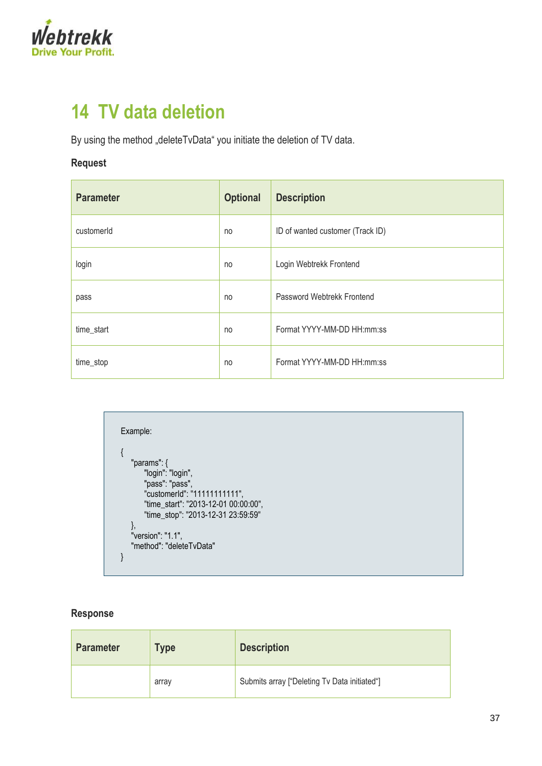

## <span id="page-36-0"></span>**14 TV data deletion**

By using the method "deleteTvData" you initiate the deletion of TV data.

## **Request**

| <b>Parameter</b> | <b>Optional</b> | <b>Description</b>               |  |
|------------------|-----------------|----------------------------------|--|
| customerId       | no              | ID of wanted customer (Track ID) |  |
| login            | no              | Login Webtrekk Frontend          |  |
| pass             | no              | Password Webtrekk Frontend       |  |
| time_start       | no              | Format YYYY-MM-DD HH:mm:ss       |  |
| time_stop        | no              | Format YYYY-MM-DD HH:mm:ss       |  |

| Example:                             |  |
|--------------------------------------|--|
|                                      |  |
|                                      |  |
| "params": $\{$                       |  |
| "login": "login",                    |  |
| "pass": "pass",                      |  |
| "customerId": "11111111111",         |  |
| "time_start": "2013-12-01 00:00:00", |  |
| "time_stop": "2013-12-31 23:59:59"   |  |
|                                      |  |
| "version": "1.1",                    |  |
| "method": "deleteTvData"             |  |
|                                      |  |
|                                      |  |

## **Response**

| <b>Parameter</b> | Type  | <b>Description</b>                           |
|------------------|-------|----------------------------------------------|
|                  | array | Submits array ["Deleting Tv Data initiated"] |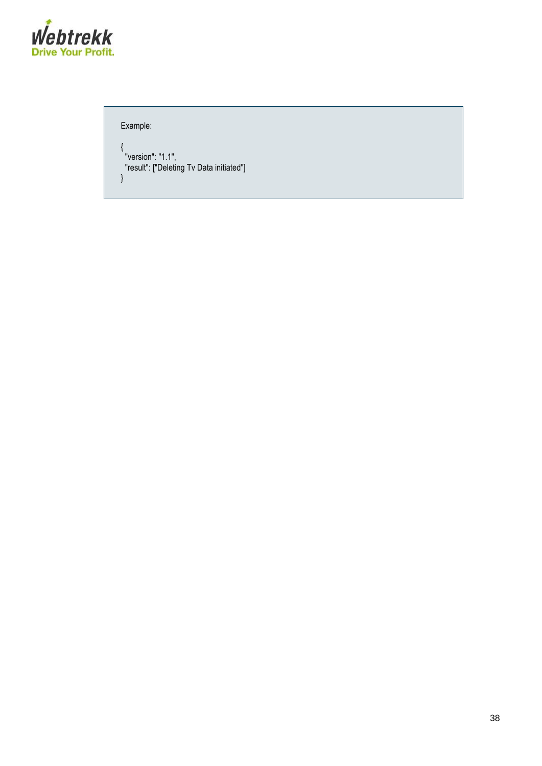

Example:

{ "version": "1.1", "result": ["Deleting Tv Data initiated"] }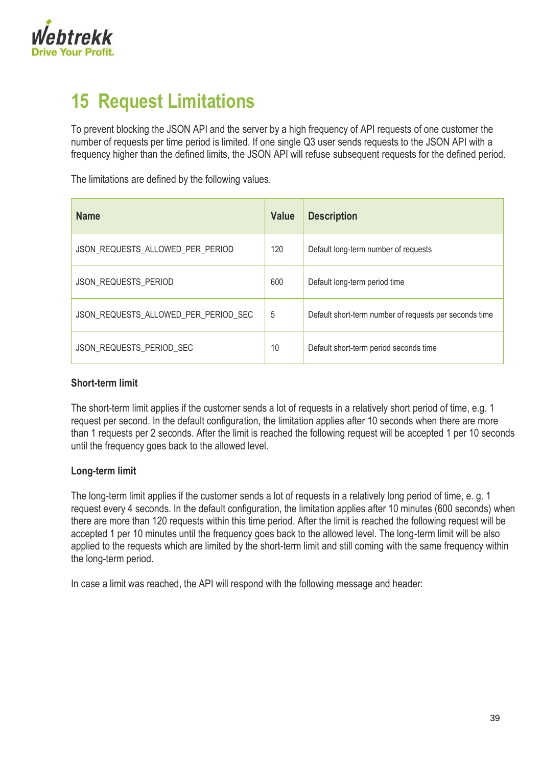

# <span id="page-38-0"></span>**15 Request Limitations**

To prevent blocking the JSON API and the server by a high frequency of API requests of one customer the number of requests per time period is limited. If one single Q3 user sends requests to the JSON API with a frequency higher than the defined limits, the JSON API will refuse subsequent requests for the defined period.

The limitations are defined by the following values.

| <b>Name</b>                          | <b>Value</b> | <b>Description</b>                                     |
|--------------------------------------|--------------|--------------------------------------------------------|
| JSON_REQUESTS_ALLOWED_PER_PERIOD     | 120          | Default long-term number of requests                   |
| <b>JSON REQUESTS PERIOD</b>          | 600          | Default long-term period time                          |
| JSON_REQUESTS_ALLOWED_PER_PERIOD SEC | 5            | Default short-term number of requests per seconds time |
| JSON REQUESTS PERIOD SEC             | 10           | Default short-term period seconds time                 |

#### **Short-term limit**

The short-term limit applies if the customer sends a lot of requests in a relatively short period of time, e.g. 1 request per second. In the default configuration, the limitation applies after 10 seconds when there are more than 1 requests per 2 seconds. After the limit is reached the following request will be accepted 1 per 10 seconds until the frequency goes back to the allowed level.

#### **Long-term limit**

The long-term limit applies if the customer sends a lot of requests in a relatively long period of time, e. g. 1 request every 4 seconds. In the default configuration, the limitation applies after 10 minutes (600 seconds) when there are more than 120 requests within this time period. After the limit is reached the following request will be accepted 1 per 10 minutes until the frequency goes back to the allowed level. The long-term limit will be also applied to the requests which are limited by the short-term limit and still coming with the same frequency within the long-term period.

In case a limit was reached, the API will respond with the following message and header: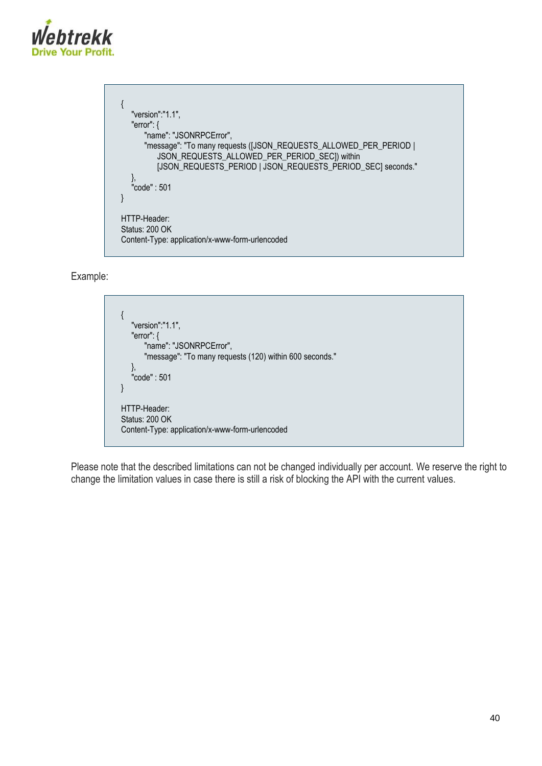

```
{
  "version":"1.1",
  "error": {
      "name": "JSONRPCError",
      "message": "To many requests ([JSON_REQUESTS_ALLOWED_PER_PERIOD |
         JSON_REQUESTS_ALLOWED_PER_PERIOD_SEC]) within 
         [JSON_REQUESTS_PERIOD | JSON_REQUESTS_PERIOD_SEC] seconds."
   },
    "code" : 501
}
HTTP-Header:
Status: 200 OK
Content-Type: application/x-www-form-urlencoded
```
Example:



Please note that the described limitations can not be changed individually per account. We reserve the right to change the limitation values in case there is still a risk of blocking the API with the current values.